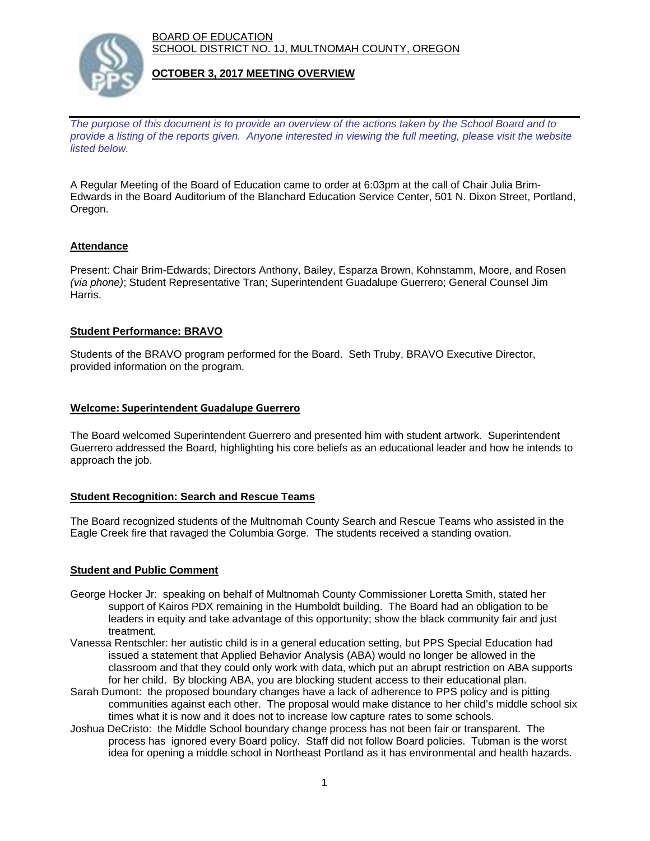BOARD OF EDUCATION SCHOOL DISTRICT NO. 1J, MULTNOMAH COUNTY, OREGON



#### **OCTOBER 3, 2017 MEETING OVERVIEW**

*The purpose of this document is to provide an overview of the actions taken by the School Board and to provide a listing of the reports given. Anyone interested in viewing the full meeting, please visit the website listed below.*

A Regular Meeting of the Board of Education came to order at 6:03pm at the call of Chair Julia Brim-Edwards in the Board Auditorium of the Blanchard Education Service Center, 501 N. Dixon Street, Portland, Oregon.

### **Attendance**

Present: Chair Brim-Edwards; Directors Anthony, Bailey, Esparza Brown, Kohnstamm, Moore, and Rosen *(via phone)*; Student Representative Tran; Superintendent Guadalupe Guerrero; General Counsel Jim Harris.

#### **Student Performance: BRAVO**

Students of the BRAVO program performed for the Board. Seth Truby, BRAVO Executive Director, provided information on the program.

#### **Welcome: Superintendent Guadalupe Guerrero**

The Board welcomed Superintendent Guerrero and presented him with student artwork. Superintendent Guerrero addressed the Board, highlighting his core beliefs as an educational leader and how he intends to approach the job.

#### **Student Recognition: Search and Rescue Teams**

The Board recognized students of the Multnomah County Search and Rescue Teams who assisted in the Eagle Creek fire that ravaged the Columbia Gorge. The students received a standing ovation.

#### **Student and Public Comment**

- George Hocker Jr: speaking on behalf of Multnomah County Commissioner Loretta Smith, stated her support of Kairos PDX remaining in the Humboldt building. The Board had an obligation to be leaders in equity and take advantage of this opportunity; show the black community fair and just treatment.
- Vanessa Rentschler: her autistic child is in a general education setting, but PPS Special Education had issued a statement that Applied Behavior Analysis (ABA) would no longer be allowed in the classroom and that they could only work with data, which put an abrupt restriction on ABA supports for her child. By blocking ABA, you are blocking student access to their educational plan.
- Sarah Dumont: the proposed boundary changes have a lack of adherence to PPS policy and is pitting communities against each other. The proposal would make distance to her child's middle school six times what it is now and it does not to increase low capture rates to some schools.
- Joshua DeCristo: the Middle School boundary change process has not been fair or transparent. The process has ignored every Board policy. Staff did not follow Board policies. Tubman is the worst idea for opening a middle school in Northeast Portland as it has environmental and health hazards.